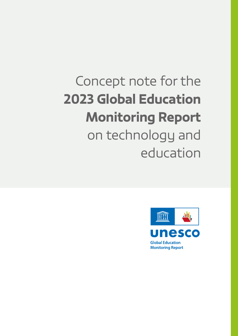# Concept note for the 2023 Global Education Monitoring Report on technology and education

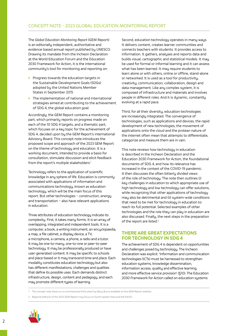The Global Education Monitoring Report (GEM Report) is an editorially independent, authoritative and evidence-based annual report published by UNESCO. Drawing its mandate from the Incheon Declaration at the World Education Forum and the Education 2030 Framework for Action, it is the international community's tool for monitoring and reporting on:

- **Progress towards the education targets in** the Sustainable Development Goals (SDGs) adopted by the United Nations Member States in September 2015
- **The implementation of national and international** strategies aimed at contributing to the achievement of SDG 4, the global education goal.

Accordingly, the GEM Report contains a monitoring part, which primarily reports on progress made on each of the 10 SDG 4 targets, and a thematic part, which focuses on a key topic for the achievement of SDG 4, decided upon by the GEM Report's international Advisory Board. This concept note introduces the proposed scope and approach of the 2023 GEM Report on the theme of technology and education. It is a working document, intended to provide a basis for consultation, stimulate discussion and elicit feedback from the report's multiple stakeholders.<sup>1</sup>

Technology refers to the application of scientific knowledge in any sphere of life. Education is commonly associated with applications of information and communications technology, known as education technology, which will be the main focus of this report. But other technologies – construction, energy and transportation – also have relevant applications in education.

Three attributes of education technology indicate its complexity. First, it takes many forms. It is an array of overlapping, integrated and independent tools. It is a computer, a book, a writing instrument, an encyclopaedia, a map, a file cabinet, a display device, a TV, a microphone, a camera, a phone, a radio and a tutor. It may be one-to-many, one-to-one or peer-to-peer technology. It may be professionally produced or have user-generated content. It may be specific to schools and place-based or it may transcend time and place. Each modality constitutes education technology but also has different manifestations, challenges and qualities that define its possible uses. Each demands distinct infrastructure, design, content and pedagogy, and each may promote different types of learning.

Second, education technology operates in many ways. It delivers content, creates learner communities and connects teachers with students. It provides access to information. It gathers, analyses and reports data and builds visual, cartographic and statistical models. It may be used for formal or informal learning and it can assess what has been learned. It may require students to learn alone or with others, online or offline, stand-alone or networked. It is used as a tool for productivity, creativity, communication, collaboration, design and data management. Like any complex system, it is composed of infrastructure and materials and involves people in different roles. And it is dynamic, constantly evolving at a rapid pace.

Third, for all their diversity, education technologies are increasingly integrated. The convergence of technologies, such as applications and devices, the rapid development of new technologies, the movement of applications onto the cloud and the protean nature of the internet often mean that attempts to differentiate, categorize and measure them are in vain.

This note reviews how technology in education is described in the Incheon Declaration and the Education 2030 Framework for Action, the foundational documents of SDG 4, and how its relevance has increased in the context of the COVID-19 pandemic. It then discusses the often bitterly divided views of the role of technology. The note then outlines (i) key challenges in education to which appropriate use of high technology and low technology can offer solutions, while recognizing that other applications of technology may also be detrimental and (ii) system-wide conditions that need to be met for technology in education to reach its full potential. Selected examples of other technologies and the role they can play in education are also discussed. Finally, the next steps in the preparation of the report are listed.<sup>2</sup>

## THERE ARE GREAT EXPECTATIONS FOR TECHNOLOGY IN SDG 4

The achievement of SDG 4 is dependent on opportunities and challenges posed by technology. The Incheon Declaration was explicit: 'Information and communication technologies (ICTs) must be harnessed to strengthen education systems, knowledge dissemination, information access, quality and effective learning, and more effective service provision' (§10). The Education 2030 Framework for Action called on education sustems

1 The concept note draws on a commissioned think piece by Mary Burns available on the GEM Report website.

2 Regional editions of the 2023 GEM Report may focus on South-eastern Asia and the Pacific.

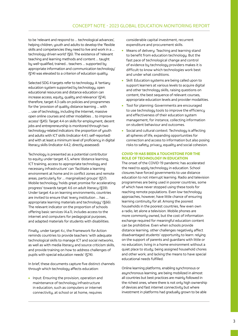to be 'relevant and respond to … technological advances', helping children, youth and adults to develop the 'flexible skills and competencies they need to live and work in a … technology-driven world' (§6). The existence of 'relevant teaching and learning methods and content … taught by well-qualified, trained… teachers … supported by appropriate information and communication technology' (§14) was elevated to a criterion of education quality.

Selected SDG 4 targets refer to technology. A 'tertiary education system supported by technology, open educational resources and distance education can increase access, equity, quality and relevance' (§14), therefore, target 4.3 calls on policies and programmes for the 'provision of quality distance learning … with … use of technology, including the Internet, massive open online courses and other modalities … to improve access' (§45). Target 4.4 on skills for employment, decent jobs and entrepreneurship is monitored through two technology-related indicators: the proportion of youth and adults with ICT skills (indicator 4.4.1; self-reported) and with at least a minimum level of proficiency in digital literacy skills (indicator 4.4.2; directly assessed).

Technology is presented as a potential contributor to equity under target 4.5, where 'distance learning, ICT training, access to appropriate technology and necessary infrastructure' can 'facilitate a learning environment at home and in conflict zones and remote areas, particularly for … marginalized groups' (§57). Mobile technology 'holds great promise for accelerating progress' towards target 4.6 on adult literacy (§59). Under target 4.a on learning environments, countries are invited to ensure that 'every institution … has … appropriate learning materials and technology' (§66). The relevant indicator on the proportion of schools offering basic services (4.a.1), includes access to the internet and computers for pedagogical purposes, and adapted materials for students with disabilities.

Finally, under target 4.c, the Framework for Action reminds countries to provide teachers 'with adequate technological skills to manage ICT and social networks, as well as with media literacy and source criticism skills, and provide training on how to address challenges of pupils with special education needs' (§74).

In brief, these documents capture five distinct channels through which technology affects education:

**Input: Ensuring the provision, operation and** maintenance of technology infrastructure in education, such as computers or internet connectivity, at school or at home, requires

considerable capital investment, recurrent expenditure and procurement skills.

- **Means of delivery: Teaching and learning stand** to benefit from education technology. But the fast pace of technological change and control of evidence by technology providers makes it is difficult to know which technologies work best and under what conditions.
- Skill: Education systems are being called upon to support learners at various levels to acquire digital and other technology skills, raising questions on content, the best sequence of relevant courses, appropriate education levels and provider modalities.
- **Tool for planning: Governments are encouraged** to use technology tools to improve the efficiency and effectiveness of their education system management, for instance, collecting information on student behaviour and outcomes.
- **Social and cultural context: Technology is affecting** all spheres of life, expanding opportunities for connection and access to information but also posing risks to safety, privacy, equality and social cohesion.

#### COVID-19 HAS BEEN A TOUCHSTONE FOR THE ROLE OF TECHNOLOGY IN EDUCATION

The onset of the COVID-19 pandemic has accelerated the need to apply technology in education. School closures have forced governments to use distance education to not interrupt learning. Radio and television programmes are being used in poorer countries, some of which have never stopped using these tools for reaching remote populations. Even low-technology approaches, however, have little chance of ensuring learning continuity for all. Among the poorest households in the poorest countries, few even own a radio, let alone a television. Mobile phones are more commonly owned, but the cost of information exchange required for meaningful education content can be prohibitive. Even when schools provide distance learning, other challenges negatively affect disadvantaged students' opportunity to learn: reluing on the support of parents and guardians with little or no education; living in a home environment without a quiet place to study; being assigned household chores and other work; and lacking the means to have special educational needs fulfilled.

Online learning platforms, enabling synchronous or asynchronous learning, are being mobilized in almost all countries but best practices are mainly followed in the richest ones, where there is not only high ownership of devices and fast internet connectivity but where investment in platforms had gradually grown to be able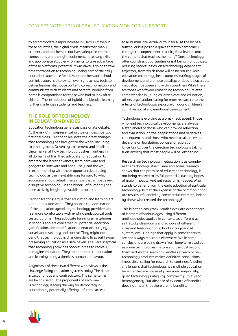to accommodate a rapid increase in users. But even in these countries, the digital divide means that many students and teachers do not have adequate internet connections and the right equipment, necessary skills and appropriate study environments to take advantage of these platforms' potential. It was always going to take time to transition to technology being part of the daily education experience for all. Most teachers and school administrators had to switch overnight to new tools to deliver lessons, distribute content, correct homework and communicate with students and parents. Working from home is compromised for those who had to look after children. The introduction of hubrid and blended learning further challenges students and teachers.

# THE ROLE OF TECHNOLOGY IN EDUCATION DIVIDES

Education technology generates passionate debate. At the risk of misrepresentation, we can describe two fictional sides. 'Technophiles' note the great changes that technology has brought to the world, including to employment. Driven by excitement and idealism, they marvel at how technology pushes frontiers in all domains of life. They advocate for education to embrace the latest advances, from hardware and gadgets to software and apps. They lead the way in experimenting with these opportunities, seeing technology as the inevitable way forward to which education should adapt. They argue that almost every disruptive technology in the history of humanity has been actively fought by established orders.

'Technosceptics' argue that education and learning are not about automation. They oppose the domination of the education agenda by technology providers and feel more comfortable with existing pedagogical tools, tested by time. They advocate banning smartphones in schools and are concerned by potential addiction, gamification, commodification, alienation, bullying, surveillance, security and control. They might not deny that technology is changing daily lives but favour preserving education as a safe haven. They are sceptical that technology provides opportunities to radically reimagine education. They point instead to education and learning being a timeless human endeavour.

A synthesis of these two different worldviews is the challenge facing education systems today. The debate is cacophonous and contradictory. The same terms are being used by the proponents of each view. Is technology leading the way for democracy in education by potentially offering unfiltered access

to all human intellectual output for all at the hit of a button; or is it posing a grave threat to democracy through the unprecedented ability for a few to control the content that reaches the many? Does technology offer countless opportunities or is it being monopolized, reducing opportunities, on a technology-dependent trajectory from which there will be no return? Does education technology help countries leapfrog stages of development and promote equality; or does it exacerbate inequality – between and within countries? While there are those who favour embedding technology-related competencies in young children's care and education, others urge caution, calling for more research into the effects of technology's exposure on young children's cognitive, social and emotional development.

Technology is evolving at a breakneck speed. Those who lead technological developments are always a step ahead of those who can provide reflection and evaluation, on their applications and negatives consequences and those who need to take relevant decisions on legislation, policy and regulation. Uncertainty over the direction technology is taking fuels anxiety that most people will be left behind.

Research on technology in education is as complex as the technology itself. Time and again, research shows that the promise of education technology is not being realized to its full potential, dashing hopes of major impacts. And yet research is needed: Who stands to benefit from the early adoption of particular technology? Is it at the expense of the common good? Are results influenced by commercial interests, indeed by those who created the technology?

This is not an easy task. Studies evaluate experiences of learners of various ages using different methodologies applied in contexts as different as self-study, classrooms and schools of different sizes and features, non-school settings and at system level. Findings that apply in some contexts are not always replicable elsewhere. While some conclusions are being drawn from long-term studies as some technologies mature and the dust around them settles, the seemingly endless stream of new technology products makes definitive conclusions impossible, calling for research to continue. Another challenge is that technology has multiple education benefits that are not easily measured empirically, given technology's ubiquity, complexity, utility and heterogeneity. But absence of evidence of benefits does not mean that there are no benefits.

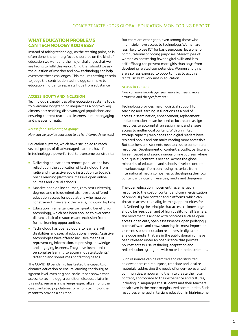# WHAT EDUCATION PROBLEMS CAN TECHNOLOGY ADDRESS?

Instead of taking technology as the starting point, as is often done, the primary focus should be on the kind of education we want and the major challenges that we are facing to fulfil this vision. Only then should we ask the question of whether and how technology can help overcome these challenges. This requires setting criteria to judge the contribution technology can make to education in order to separate hype from substance.

## ACCESS, EQUITY AND INCLUSION

Technology's capabilities offer education systems tools to overcome longstanding inequalities along two key dimensions: reaching disadvantaged populations and ensuring content reaches all learners in more engaging and cheaper formats.

#### Access for disadvantaged groups

How can we provide education to all hard-to-reach learners?

Education systems, which have struggled to reach several groups of disadvantaged learners, have found in technology a powerful tool to overcome constraints:

- **•** Delivering education to remote populations has relied upon the application of technology, from radio and interactive audio instruction to today's online learning platforms, massive open online courses and virtual schools.
- Massive open online courses, zero cost university degrees and microcredentials have also offered education access for populations who may be constrained in several other ways, including by time.
- **Education in emergencies can greatly benefit from** technology, which has been applied to overcome distance, lack of resources and exclusion from formal learning opportunities.
- **Technology has opened doors to learners with** disabilities and special educational needs. Assistive technologies have offered inclusive means of representing information, expressing knowledge and engaging learners. They have been used to personalize learning to accommodate students' differing and sometimes conflicting needs.

The COVID-19 pandemic has tested the capacity of distance education to ensure learning continuity at system level, even at global scale. It has shown that access to technology, a condition discussed later in this note, remains a challenge, especially among the disadvantaged populations for whom technology is meant to provide a solution.

But there are other gaps, even among those who in principle have access to technology. Women are less likely to use ICT for basic purposes, let alone for computational or coding purposes. Stereotypes of women as possessing fewer digital skills and less self-efficacy can prevent more girls than boys from developing related competencies. Women and girls are also less exposed to opportunities to acquire digital skills at work and in education.

#### Access to content

How can more knowledge reach more learners in more attractive and cheaper formats?

Technology provides major logistical support for teaching and learning. It functions as a tool of access, dissemination, enhancement, replacement and automation. It can be used to locate and assign resources to accomplish an assignment and ensure access to multimodal content. With unlimited storage capacity, web pages and digital readers have replaced books and can make reading more accessible. But teachers and students need access to content and resources. Development of content is costly, particularly for self-paced and asynchronous online courses, where high-quality content is needed. Across the globe, ministries of education and schools develop content in various ways, from purchasing materials from international media companies to developing their own content with local universities, media and designers.

The open education movement has emerged in response to the cost of content and commercialization of previously free content and platforms, which can threaten access to quality learning opportunities for all. Defined by the principle that access to knowledge should be free, open and of high quality for all learners, the movement is aligned with concepts such as open access, open data, open assessments, open pedagogy, open software and crowdsourcing. Its most important element is open education resources, in digital or analogue media, that are in the public domain or have been released under an open licence that permits no-cost access, use, resharing, adaptation and redistribution by anyone with no or limited restrictions.

Such resources can be remixed and redistributed, so developers can repurpose, translate and localize materials, addressing the needs of under-represented communities, empowering them to create their own content, appropriate to their experience and cultures, including in languages the students and their teachers speak even in the most marginalized communities. Such resources emerged in tertiary education in high-income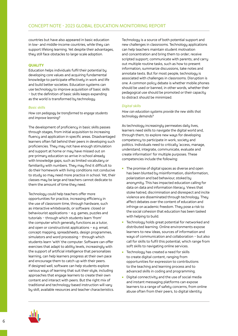countries but have also appeared in basic education in low- and middle-income countries, while they can support lifelong learning. Yet despite their advantages, they still face obstacles to large-scale adoption.

## QUALITY

Education helps individuals fulfil their potential by developing core values and acquiring fundamental knowledge to participate effectively in work and life and build better societies. Education systems can use technology to improve acquisition of basic skills – but the definition of basic skills keeps expanding as the world is transformed by technology.

#### Basic skills

How can pedagogy be transformed to engage students and improve learning?

The development of proficiency in basic skills passes through stages, from initial acquisition to increasing fluency and application in specific areas. Disadvantaged learners often fall behind their peers in developing such proficiencies. They may not have enough stimulation and support at home or may have missed out on pre-primary education so arrive in school already with knowledge gaps, such as limited vocabulary or familiarity with numbers. They may find it difficult to do their homework with living conditions not conducive to study so may need more practice in school. Yet, their classes may be large and teachers cannot dedicate to them the amount of time they need.

Technology could help teachers offer more opportunities for practice, increasing efficiency in the use of classroom time, through hardware, such as interactive whiteboards, or software: closed or behaviourist applications – e.g. games, puzzles and tutorials – through which students learn 'from' the computer which generally functions as a tutor, and open or constructivist applications – e.g. email, concept mapping, spreadsheets, design programmes, simulators and word processing – through which students learn 'with' the computer. Software can offer exercises that adapt to ability levels, increasingly with the support of artificial intelligence that personalizes learning, can help learners progress at their own pace and encourage them to catch up with their peers. If designed well, software can help students explore various ways of learning that suit their style, including approaches that engage learners to create their own content and interact with peers. But the right mix of traditional and technology-based instruction will vary by skill, available resources and teacher characteristics. Technology is a source of both potential support and new challenges in classrooms. Technology applications can help teachers maintain student motivation and concentration and bring them to order; receive scripted support; communicate with parents; and carry out multiple routine tasks, such as how to present information, summarize discussions, take notes and annotate texts. But for most people, technology is associated with challenges in classrooms. Disruption is one. A common policy debate is whether mobile phones should be used or banned, in other words, whether their pedagogical use should be promoted or their capacity to distract should be minimized.

#### Digital skills

How can education systems provide the new skills that technology demands?

As technology increasingly permeates daily lives, learners need skills to navigate the digital world and, through them, to explore new ways for developing competency to participate in work, society and politics. Individuals need to critically 'access, manage, understand, integrate, communicate, evaluate and create information' for multiple purposes. These competencies include the following:

- The promise of digital spaces as diverse and open has been blunted by misinformation, disinformation, polarization and bad behaviour, stoked by anonymity. This has impacted education calling for data on data and information literacy. Views that stoke hatred, discrimination and disrespect and incite violence are disseminated through technology. They affect debates over the content of education and infringe on academic freedom. They pose a risk to the social cohesion that education has been tasked with helping to build.
- **Technology holds great potential for networked and** distributed learning. Online environments expose learners to new ideas, sources of information and ways of communication and collaboration – but also call for skills to fulfil this potential, which range from soft skills to navigating online services.
- **Technology has created a need for skills** to create digital content, ranging from opportunities for expression to contributions to the teaching and learning process and to advanced skills in coding and programming.
- Digital connectivity and the use of social media and instant messaging platforms can expose learners to a range of safety concerns, from online abuse often from their peers, to digital identity

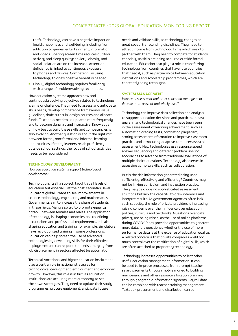theft. Technology can have a negative impact on health, happiness and well-being, including from addiction to games, entertainment, information and videos. Soaring screen time reduces outdoor activity and sleep quality; anxiety, obesity and social isolation are on the increase. Attention deficiency is linked to continuous exposure to phones and devices. Competency is using technology to one's positive benefit is needed.

**Finally, digital technology requires familiarity** with a range of problem-solving techniques.

How education systems approach new and continuously evolving objectives related to technology is a major challenge. They need to assess and anticipate skills needs, develop competence frameworks, issue guidelines, draft curricula, design courses and allocate funds. Textbooks need to be updated more frequently and to become dynamic and interactive. Knowledge on how best to build these skills and competencies is also evolving. Another question is about the right mix between formal, non-formal and informal learning opportunities. If many learners reach proficiency outside school settings, the focus of school activities needs to be reconsidered.

## TECHNOLOGY DEVELOPMENT

How can education systems support technological development?

Technology is itself a subject, taught at all levels of education but especially at the post-secondary level. Educators globally want to see improvements in science, technology, engineering and mathematics. Governments aim to increase the share of students in these fields. Many also try to promote equality, notably between females and males. The application of technology is shaping economies and redefining occupations and professional requirements. It is also shaping education and training, for example, simulators have revolutionized training in some professions. Education can help spread the use of advanced technologies by developing skills for their effective deployment and can respond to needs emerging from job displacement in sectors affected by automation.

Technical, vocational and higher education institutions play a central role in national strategies for technological development, employment and economic growth. However, this role is in flux, as education institutions are acquiring more autonomy to set their own strategies. They need to update their study programmes, procure equipment, anticipate future

needs and validate skills, as technology changes at great speed, transcending disciplines. They need to attract income from technology firms which seek to partner with them. They need to compete for students, especially as skills are being acquired outside formal education. Education also plays a role in transferring technology from countries that have it to countries that need it, such as partnerships between education institutions and scholarship programmes, which are constantly being rethought.

## SYSTEM MANAGEMENT

How can assessment and other education management data be more relevant and widely used?

Technology can improve data collection and analysis to support education decisions and practices. In past years, many technological changes have been seen in the assessment of learning achievement, such as automating grading tests, combating plagiarism, storing assessment information to improve classroom practice, and introducing adaptive computer-assisted assessment. New technologies use response speed, answer sequencing and different problem-solving approaches to advance from traditional evaluations of multiple choice questions. Technology also serves in assessing complex skills, such as collaboration.

But is the rich information generated being used sufficiently, effectively and efficiently? Countries may not be linking curriculum and instruction practice. They may be choosing sophisticated assessment solutions but lack the capacity to draw inference and interpret results. As government agencies often lack such capacity, the role of private providers is increasing, raising concerns over their influence over education policies, curricula and textbooks. Questions over data privacy are being raised, as the use of online platforms during COVID-19 has provided opportunities to generate more data. It is questioned whether the use of more performance data is at the expense of education quality. A related concern is that private companies wield too much control over the certification of digital skills, which are often attached to proprietary technology.

Technology increases opportunities to collect other useful education management information. It can be used to improve processes, from prompt teacher salary payments through mobile money to building maintenance and other resource allocation planning through geographic information systems. Payroll data can be combined with teacher training management. Textbook procurement and distribution can be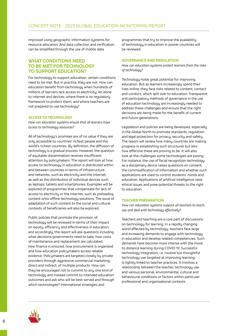improved using geographic information systems for resource allocation. And data collection and verification can be simplified through the use of mobile data.

## WHAT CONDITIONS NEED TO BE MET FOR TECHNOLOGY TO SUPPORT EDUCATION?

For technology to support education, certain conditions need to be met. But in practice, they are not. How can education benefit from technology when hundreds of millions of learners lack access to electricity, let alone to internet and devices; where there is no regulatory framework to protect them; and where teachers are not prepared to use technology?

## ACCESS TO TECHNOLOGY

How can education systems ensure that all learners have access to technology resources?

All of technology's promises are of no value if they are only accessible to countries' richest people and the world's richest countries. By definition, the diffusion of technology is a gradual process. However, the question of equitable dissemination receives insufficient attention by policymakers. The report will look at how access to technology in education is distributed within and between countries in terms of infrastructure and networks, such as electricity and the internet, as well as the distribution of individual devices such as laptops, tablets and smartphones. Examples will be explored of programmes that compensate for lack of access to electricity or the internet, such as preloading content onto offline technology solutions. The issue of adaptation of such content to the social and cultural contexts of beneficiaries will also be explored.

Public policies that promote the provision of technology will be reviewed in terms of their impact on equity, efficiency and effectiveness in education, and accordingly, the report will ask questions including what decisions governments need to take, how costs of maintenance and replacement are calculated, how finance is ensured, how procurement is organized and how education policymakers access reliable evidence. Policymakers are targeted closely by private providers through aggressive commercial marketing, direct and indirect, of multiple products. How can they be encouraged not to commit to any one kind of technology and instead commit to intended education outcomes and ask who will be best served and through which technologies? International strategies and

programmes that try to improve the availability of technology in education in poorer countries will be reviewed.

#### GOVERNANCE AND REGULATION

How can education sustems protect learners from the risks of technology?

Technology holds great potential for improving education. But as learners increasingly spend their lives online, they face risks related to content, contact and conduct, which spill over to education. Transparent and participatory methods of governance in the use of education technology are increasingly needed to address these challenges and ensure that the right decisions are being made for the benefit of current and future generations.

Legislation and policies are being developed, especially in the Global North to promote standards, regulation and legal protection for privacy, security and safety. The report will review how many countries are making progress in establishing such structures but also how effective these are proving to be. It will also look at the challenges some technologies are posing. For instance, the use of facial recognition technology as a disciplinary device raises questions on consent, the commodification of information and whether such applications are used to control students' minds and education. Applications of artificial intelligence raise ethical issues and pose potential threats to the right to education.

#### TEACHER PREPARATION

How can education sustems support all teachers to teach, use and deal with technology effectively?

Teachers and teaching are a core part of discussions on technology for learning. In a rapidly changing world affected by technology, teachers face large and increasing demands to engage with technology in education and develop related competencies. Such demands have become more intense with the move to distance learning during COVID-19. Successful technology integration, i.e. routine but thoughtful technology use targeted at improving learning, is tightly linked to teacher practices. It involves a relationship between the teacher, technology use and various personal, environmental, cultural and behavioural conditions or factors within particular professional and organizational contexts.

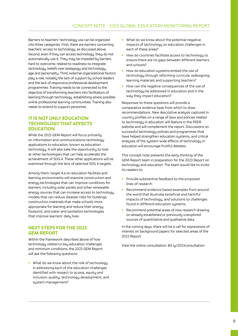Barriers to teachers' technology use can be organized into three categories. First, there are barriers concerning teachers' access to technology, as discussed above. Second, even if they can access technology, they do not automatically use it. They may be impeded by barriers hard to overcome, related to readiness to integrate technology, beliefs over pedagogy and technology, age and personality. Third, external organizational factors play a role, notably the lack of support by school leaders and the lack of responsive professional development programmes. Training needs to be connected to the objective of transforming teachers into facilitators of learning through technology, establishing where possible online professional learning communities. Training also needs to extend to support personnel.

# IT IS NOT ONLY EDUCATION TECHNOLOGY THAT AFFECTS EDUCATION

While the 2023 GEM Report will focus primarily on information and communications technology applications to education, known as education technology, it will also take the opportunity to look at other technologies that can help accelerate the achievement of SDG 4. These other applications will be examined through the lens of selected SDG 4 targets.

Among them, target 4.a on education facilities and learning environments will examine construction and energy technologies that can improve conditions for learners, including solar panels and other renewable energy sources that can increase access to technology, models that can reduce disaster risks for buildings, construction materials that make schools more appropriate for learning and reduce their energy footprint, and water and sanitation technologies that improve learners' daily lives.

# NEXT STEPS FOR THE 2023 GEM REPORT

Within the framework described above of how technology relates to key education challenges and minimum conditions, the 2023 GEM Report will ask the following questions:

What do we know about the role of technology in addressing each of the education challenges identified with respect to access, equity and inclusion; quality; technology development; and sustem management?

- What do we know about the potential negative impacts of technology on education challenges in each of these areas?
- How do countries facilitate access to technology to ensure there are no gaps between different learners and schools?
- How do education systems embed the use of technology through reforming curricula, redesigning learning materials and supporting teachers?
- How can the negative consequences of the use of technology be addressed in education and in the way they impact education?

Responses to these questions will provide a comparative evidence base from which to draw recommendations. New descriptive analysis captured in country profiles on a range of laws and policies related to technology in education will feature in the PEER website and will complement the report. Discussions on successful technology policies and programmes that have helped strengthen education systems, and critical analyses of the system-wide effects of technology in education will encourage fruitful debates.

This concept note presents the early thinking of the GEM Report team in preparation for the 2023 Report on technology and education. The team would like to invite its readers to:

- **Provide substantive feedback to the proposed** lines of research.
- Recommend evidence-based examples from around the world that illustrate beneficial and harmful impacts of technology, and solutions to challenges found in different education sustems.
- **Recommend potential areas of new research drawing** on already established or previously unexplored sources of quantitative and qualitative data.

In the coming days, there will be a call for expressions of interest on background papers for selected areas of the 2023 Report.

View the online consultation: [Bit.ly/2023consultation](https://2023gemreportconsultation.wordpress.com/)